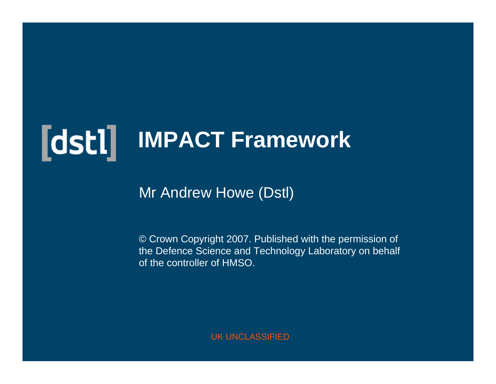# **IMPACT Framework**

#### Mr Andrew Howe (Dstl)

© Crown Copyright 2007. Published with the permission of the Defence Science and Technology Laboratory on behalf of the controller of HMSO.

UK UNCLASSIFIED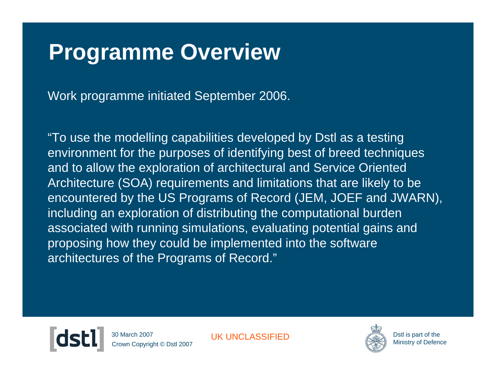### **Programme Overview**

Work programme initiated September 2006.

"To use the modelling capabilities developed by Dstl as a testing environment for the purposes of identifying best of breed techniques and to allow the exploration of architectural and Service Oriented Architecture (SOA) requirements and limitations that are likely to be encountered by the US Programs of Record (JEM, JOEF and JWARN), including an exploration of distributing the computational burden associated with running simulations, evaluating potential gains and proposing how they could be implemented into the software architectures of the Programs of Record."



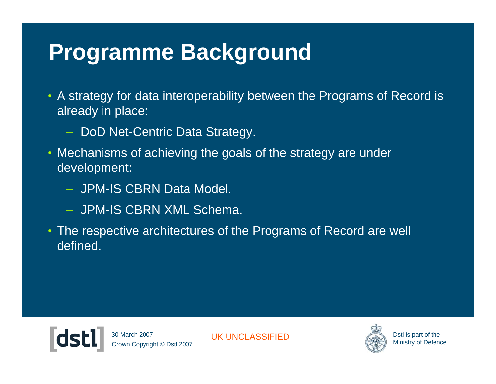### **Programme Background**

- A strategy for data interoperability between the Programs of Record is already in place:
	- DoD Net-Centric Data Strategy.
- Mechanisms of achieving the goals of the strategy are under development:
	- JPM-IS CBRN Data Model.
	- JPM-IS CBRN XML Schema.
- The respective architectures of the Programs of Record are well defined.



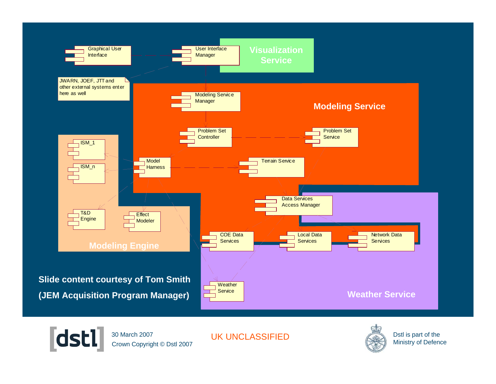



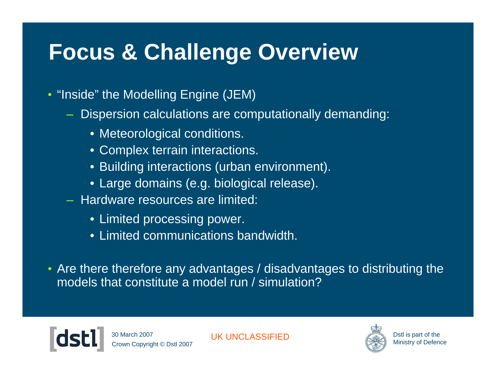# **Focus & Challenge Overview**

- "Inside" the Modelling Engine (JEM)
	- Dispersion calculations are computationally demanding:
		- Meteorological conditions.
		- Complex terrain interactions.
		- Building interactions (urban environment).
		- Large domains (e.g. biological release).
	- Hardware resources are limited:
		- Limited processing power.
		- Limited communications bandwidth.
- Are there therefore any advantages / disadvantages to distributing the models that constitute a model run / simulation?

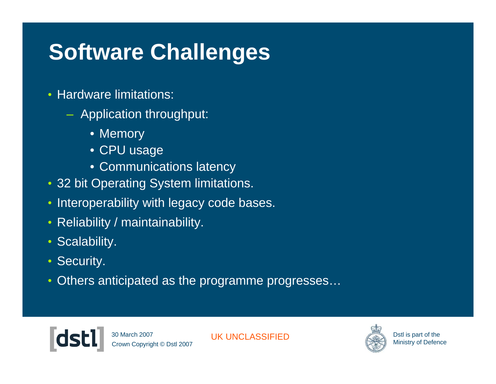# **Software Challenges**

- Hardware limitations:
	- Application throughput:
		- Memory
		- CPU usage
		- Communications latency
- 32 bit Operating System limitations.
- Interoperability with legacy code bases.
- Reliability / maintainability.
- Scalability.
- Security.
- Others anticipated as the programme progresses...



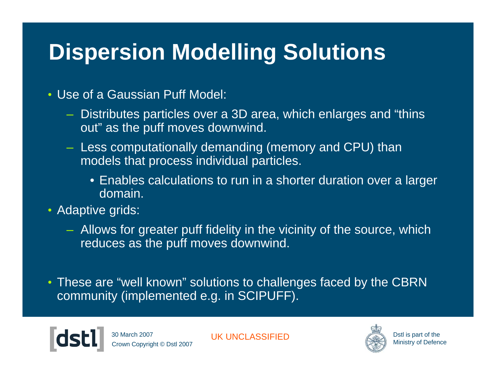# **Dispersion Modelling Solutions**

#### • Use of a Gaussian Puff Model:

- Distributes particles over a 3D area, which enlarges and "thins out" as the puff moves downwind.
- Less computationally demanding (memory and CPU) than models that process individual particles.
	- Enables calculations to run in a shorter duration over a larger domain.
- Adaptive grids:
	- Allows for greater puff fidelity in the vicinity of the source, which reduces as the puff moves downwind.
- These are "well known" solutions to challenges faced by the CBRN community (implemented e.g. in SCIPUFF).

wn Copyright © Dstl 2007 30 March 2007

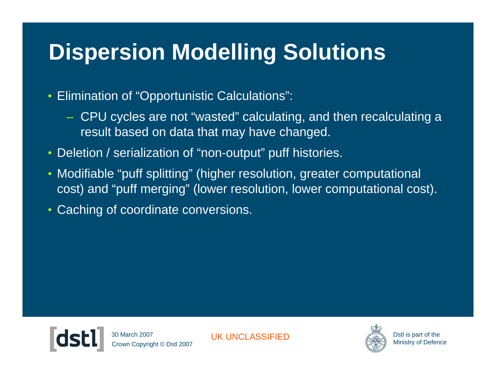# **Dispersion Modelling Solutions**

- Elimination of "Opportunistic Calculations":
	- CPU cycles are not "wasted" calculating, and then recalculating a result based on data that may have changed.
- Deletion / serialization of "non-output" puff histories.
- Modifiable "puff splitting" (higher resolution, greater computational cost) and "puff merging" (lower resolution, lower computational cost).
- Caching of coordinate conversions.



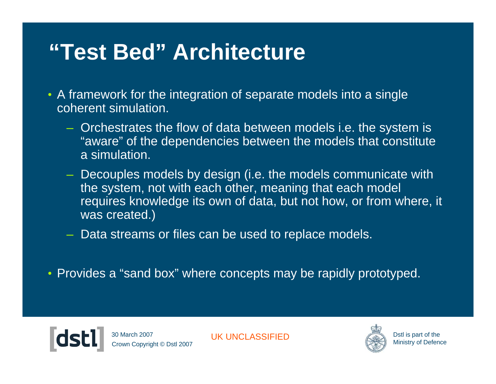### **"Test Bed" Architecture**

- A framework for the integration of separate models into a single coherent simulation.
	- Orchestrates the flow of data between models i.e. the system is "aware" of the dependencies between the models that constitute a simulation.
	- Decouples models by design (i.e. the models communicate with the system, not with each other, meaning that each model requires knowledge its own of data, but not how, or from where, it was created.)
	- Data streams or files can be used to replace models.
- Provides a "sand box" where concepts may be rapidly prototyped.



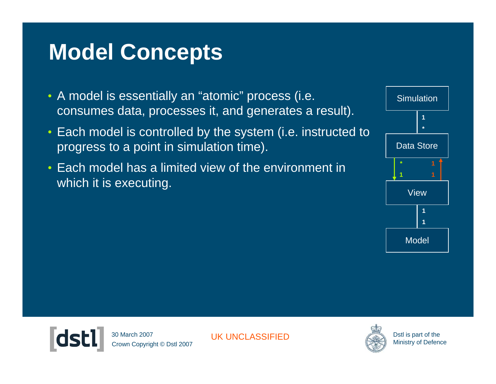# **Model Concepts**

- A model is essentially an "atomic" process (i.e. consumes data, processes it, and generates a result).
- Each model is controlled by the system (i.e. instructed to progress to a point in simulation time).
- Each model has a limited view of the environment in which it is executing.





Crown Copyright © Dstl 2007 30 March 2007

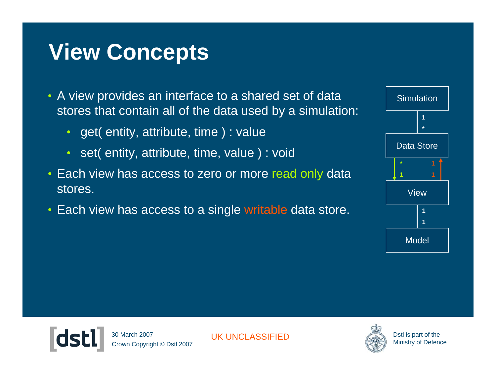# **View Concepts**

- A view provides an interface to a shared set of data stores that contain all of the data used by a simulation:
	- get( entity, attribute, time ) : value
	- set( entity, attribute, time, value) : void
- Each view has access to zero or more read only data stores.
- Each view has access to a single writable data store.





Crown Copyright © Dstl 2007 30 March 2007

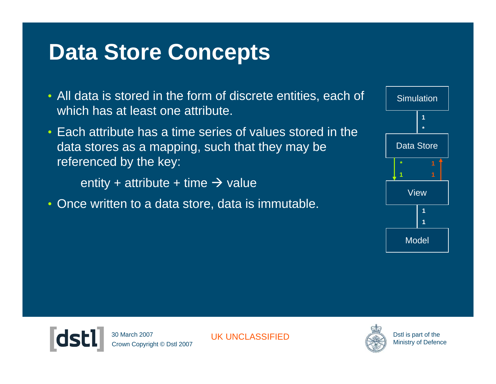## **Data Store Concepts**

- All data is stored in the form of discrete entities, each of which has at least one attribute.
- Each attribute has a time series of values stored in the data stores as a mapping, such that they may be referenced by the key:

entity + attribute + time  $\rightarrow$  value

• Once written to a data store, data is immutable.





Crown Copyright © Dstl 2007 30 March 2007

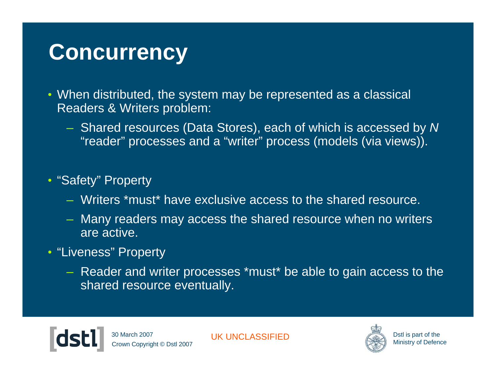#### **Concurrency**

- When distributed, the system may be represented as a classical Readers & Writers problem:
	- Shared resources (Data Stores), each of which is accessed by *N*  "reader" processes and a "writer" process (models (via views)).

#### • "Safety" Property

- Writers \*must\* have exclusive access to the shared resource.
- Many readers may access the shared resource when no writers are active.
- "Liveness" Property
	- Reader and writer processes \*must\* be able to gain access to the shared resource eventually.

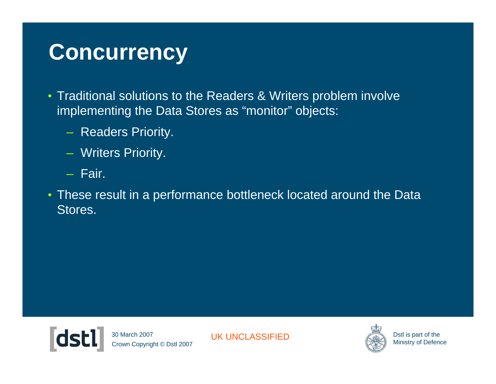### **Concurrency**

- Traditional solutions to the Readers & Writers problem involve implementing the Data Stores as "monitor" objects:
	- Readers Priority.
	- Writers Priority.
	- Fair.
- These result in a performance bottleneck located around the Data Stores.



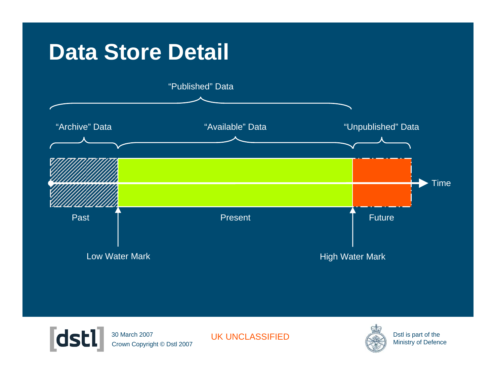#### **Data Store Detail**





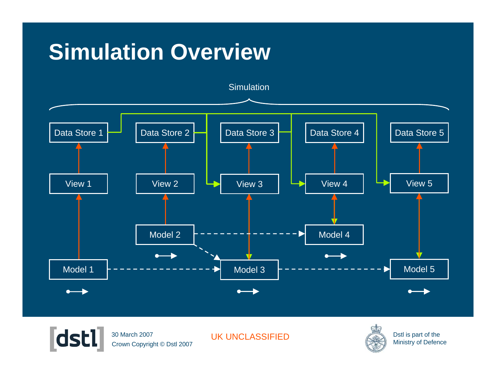# **Simulation Overview**





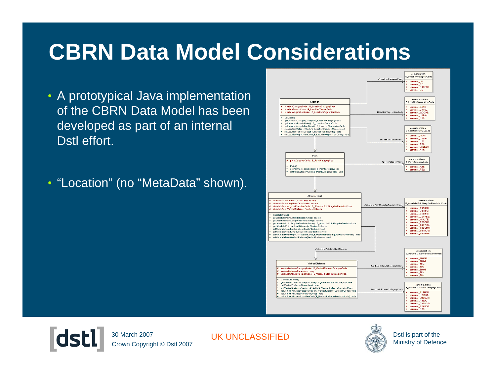# **CBRN Data Model Considerations**

- A prototypical Java implementation of the CBRN Data Model has been developed as part of an internal Dstl effort.
- "Location" (no "MetaData" shown).



Crown Copyright © Dstl 2007 30 March 2007

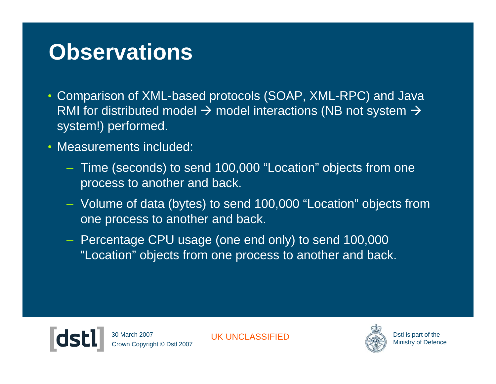#### **Observations**

- Comparison of XML-based protocols (SOAP, XML-RPC) and Java RMI for distributed model  $\rightarrow$  model interactions (NB not system  $\rightarrow$ system!) performed.
- Measurements included:
	- Time (seconds) to send 100,000 "Location" objects from one process to another and back.
	- Volume of data (bytes) to send 100,000 "Location" objects from one process to another and back.
	- Percentage CPU usage (one end only) to send 100,000 "Location" objects from one process to another and back.



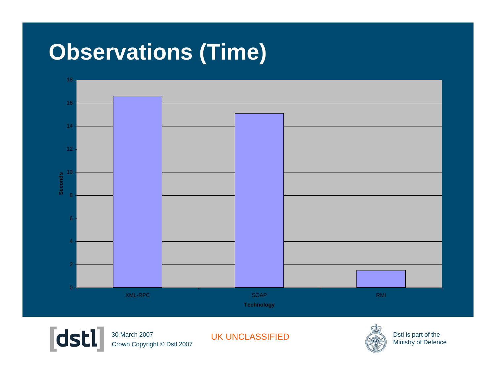# **Observations (Time)**





Crown Copyright © Dstl 2007 30 March 2007

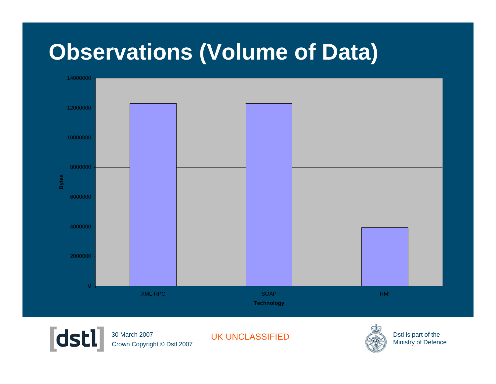#### **Observations (Volume of Data)**





Crown Copyright © Dstl 2007 30 March 2007

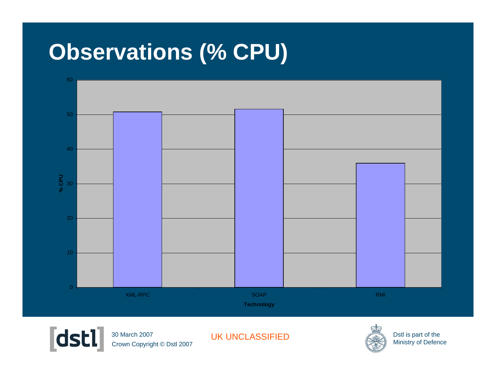### **Observations (% CPU)**





Crown Copyright © Dstl 2007 30 March 2007

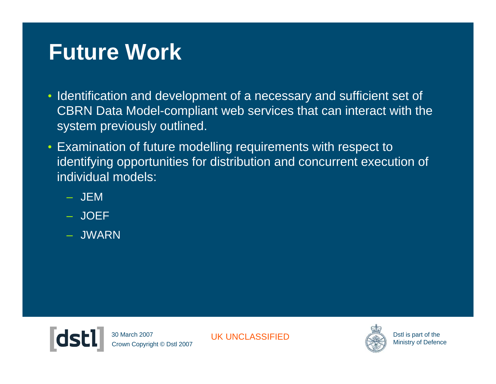### **Future Work**

- Identification and development of a necessary and sufficient set of CBRN Data Model-compliant web services that can interact with the system previously outlined.
- Examination of future modelling requirements with respect to identifying opportunities for distribution and concurrent execution of individual models:
	- JEM
	- JOEF
	- JWARN